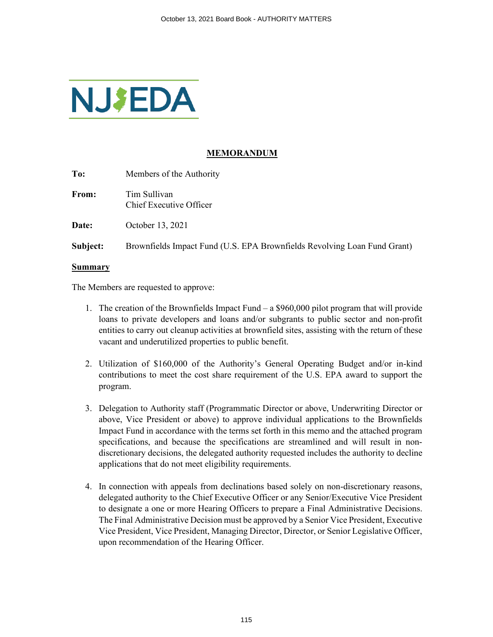

# **MEMORANDUM**

**To:** Members of the Authority

**From:** Tim Sullivan Chief Executive Officer

**Date:** October 13, 2021

**Subject:** Brownfields Impact Fund (U.S. EPA Brownfields Revolving Loan Fund Grant)

#### **Summary**

The Members are requested to approve:

- 1. The creation of the Brownfields Impact Fund a \$960,000 pilot program that will provide loans to private developers and loans and/or subgrants to public sector and non-profit entities to carry out cleanup activities at brownfield sites, assisting with the return of these vacant and underutilized properties to public benefit.
- 2. Utilization of \$160,000 of the Authority's General Operating Budget and/or in-kind contributions to meet the cost share requirement of the U.S. EPA award to support the program.
- 3. Delegation to Authority staff (Programmatic Director or above, Underwriting Director or above, Vice President or above) to approve individual applications to the Brownfields Impact Fund in accordance with the terms set forth in this memo and the attached program specifications, and because the specifications are streamlined and will result in nondiscretionary decisions, the delegated authority requested includes the authority to decline applications that do not meet eligibility requirements.
- 4. In connection with appeals from declinations based solely on non-discretionary reasons, delegated authority to the Chief Executive Officer or any Senior/Executive Vice President to designate a one or more Hearing Officers to prepare a Final Administrative Decisions. The Final Administrative Decision must be approved by a Senior Vice President, Executive Vice President, Vice President, Managing Director, Director, or Senior Legislative Officer, upon recommendation of the Hearing Officer.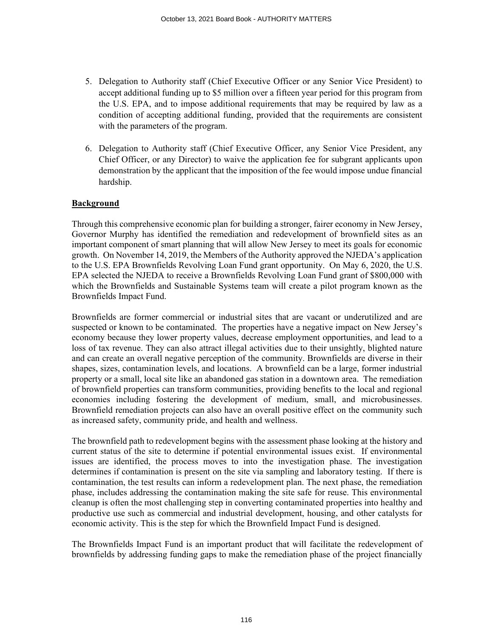- 5. Delegation to Authority staff (Chief Executive Officer or any Senior Vice President) to accept additional funding up to \$5 million over a fifteen year period for this program from the U.S. EPA, and to impose additional requirements that may be required by law as a condition of accepting additional funding, provided that the requirements are consistent with the parameters of the program.
- 6. Delegation to Authority staff (Chief Executive Officer, any Senior Vice President, any Chief Officer, or any Director) to waive the application fee for subgrant applicants upon demonstration by the applicant that the imposition of the fee would impose undue financial hardship.

# **Background**

Through this comprehensive economic plan for building a stronger, fairer economy in New Jersey, Governor Murphy has identified the remediation and redevelopment of brownfield sites as an important component of smart planning that will allow New Jersey to meet its goals for economic growth. On November 14, 2019, the Members of the Authority approved the NJEDA's application to the U.S. EPA Brownfields Revolving Loan Fund grant opportunity. On May 6, 2020, the U.S. EPA selected the NJEDA to receive a Brownfields Revolving Loan Fund grant of \$800,000 with which the Brownfields and Sustainable Systems team will create a pilot program known as the Brownfields Impact Fund.

Brownfields are former commercial or industrial sites that are vacant or underutilized and are suspected or known to be contaminated. The properties have a negative impact on New Jersey's economy because they lower property values, decrease employment opportunities, and lead to a loss of tax revenue. They can also attract illegal activities due to their unsightly, blighted nature and can create an overall negative perception of the community. Brownfields are diverse in their shapes, sizes, contamination levels, and locations. A brownfield can be a large, former industrial property or a small, local site like an abandoned gas station in a downtown area. The remediation of brownfield properties can transform communities, providing benefits to the local and regional economies including fostering the development of medium, small, and microbusinesses. Brownfield remediation projects can also have an overall positive effect on the community such as increased safety, community pride, and health and wellness.

The brownfield path to redevelopment begins with the assessment phase looking at the history and current status of the site to determine if potential environmental issues exist. If environmental issues are identified, the process moves to into the investigation phase. The investigation determines if contamination is present on the site via sampling and laboratory testing. If there is contamination, the test results can inform a redevelopment plan. The next phase, the remediation phase, includes addressing the contamination making the site safe for reuse. This environmental cleanup is often the most challenging step in converting contaminated properties into healthy and productive use such as commercial and industrial development, housing, and other catalysts for economic activity. This is the step for which the Brownfield Impact Fund is designed.

The Brownfields Impact Fund is an important product that will facilitate the redevelopment of brownfields by addressing funding gaps to make the remediation phase of the project financially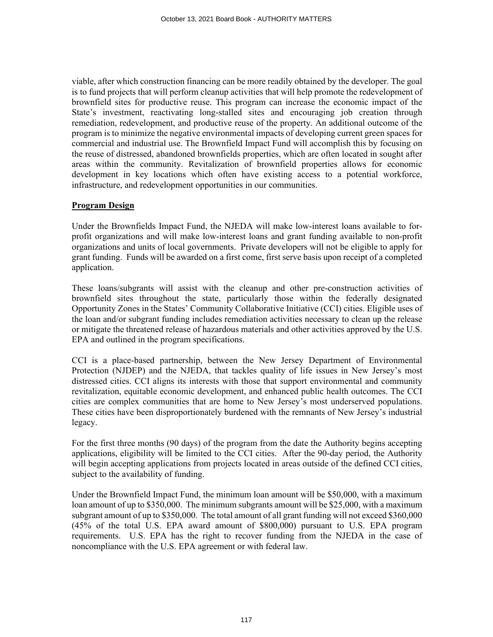viable, after which construction financing can be more readily obtained by the developer. The goal is to fund projects that will perform cleanup activities that will help promote the redevelopment of brownfield sites for productive reuse. This program can increase the economic impact of the State's investment, reactivating long-stalled sites and encouraging job creation through remediation, redevelopment, and productive reuse of the property. An additional outcome of the program is to minimize the negative environmental impacts of developing current green spaces for commercial and industrial use. The Brownfield Impact Fund will accomplish this by focusing on the reuse of distressed, abandoned brownfields properties, which are often located in sought after areas within the community. Revitalization of brownfield properties allows for economic development in key locations which often have existing access to a potential workforce, infrastructure, and redevelopment opportunities in our communities.

## **Program Design**

Under the Brownfields Impact Fund, the NJEDA will make low-interest loans available to forprofit organizations and will make low-interest loans and grant funding available to non-profit organizations and units of local governments. Private developers will not be eligible to apply for grant funding. Funds will be awarded on a first come, first serve basis upon receipt of a completed application.

These loans/subgrants will assist with the cleanup and other pre-construction activities of brownfield sites throughout the state, particularly those within the federally designated Opportunity Zones in the States' Community Collaborative Initiative (CCI) cities. Eligible uses of the loan and/or subgrant funding includes remediation activities necessary to clean up the release or mitigate the threatened release of hazardous materials and other activities approved by the U.S. EPA and outlined in the program specifications.

CCI is a place-based partnership, between the New Jersey Department of Environmental Protection (NJDEP) and the NJEDA, that tackles quality of life issues in New Jersey's most distressed cities. CCI aligns its interests with those that support environmental and community revitalization, equitable economic development, and enhanced public health outcomes. The CCI cities are complex communities that are home to New Jersey's most underserved populations. These cities have been disproportionately burdened with the remnants of New Jersey's industrial legacy.

For the first three months (90 days) of the program from the date the Authority begins accepting applications, eligibility will be limited to the CCI cities. After the 90-day period, the Authority will begin accepting applications from projects located in areas outside of the defined CCI cities, subject to the availability of funding.

Under the Brownfield Impact Fund, the minimum loan amount will be \$50,000, with a maximum loan amount of up to \$350,000. The minimum subgrants amount will be \$25,000, with a maximum subgrant amount of up to \$350,000. The total amount of all grant funding will not exceed \$360,000 (45% of the total U.S. EPA award amount of \$800,000) pursuant to U.S. EPA program requirements. U.S. EPA has the right to recover funding from the NJEDA in the case of noncompliance with the U.S. EPA agreement or with federal law.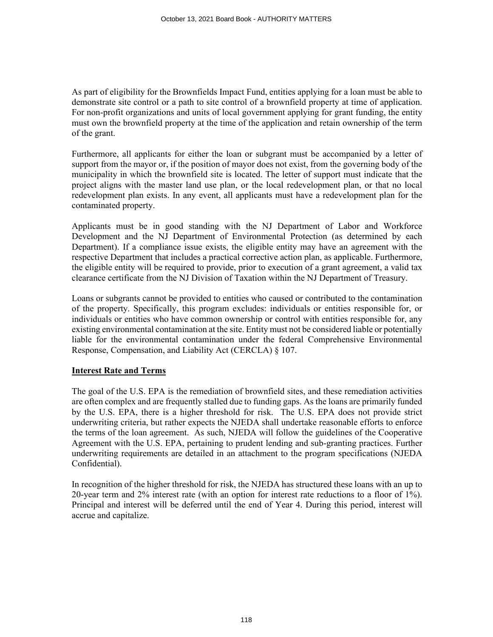As part of eligibility for the Brownfields Impact Fund, entities applying for a loan must be able to demonstrate site control or a path to site control of a brownfield property at time of application. For non-profit organizations and units of local government applying for grant funding, the entity must own the brownfield property at the time of the application and retain ownership of the term of the grant.

Furthermore, all applicants for either the loan or subgrant must be accompanied by a letter of support from the mayor or, if the position of mayor does not exist, from the governing body of the municipality in which the brownfield site is located. The letter of support must indicate that the project aligns with the master land use plan, or the local redevelopment plan, or that no local redevelopment plan exists. In any event, all applicants must have a redevelopment plan for the contaminated property.

Applicants must be in good standing with the NJ Department of Labor and Workforce Development and the NJ Department of Environmental Protection (as determined by each Department). If a compliance issue exists, the eligible entity may have an agreement with the respective Department that includes a practical corrective action plan, as applicable. Furthermore, the eligible entity will be required to provide, prior to execution of a grant agreement, a valid tax clearance certificate from the NJ Division of Taxation within the NJ Department of Treasury.

Loans or subgrants cannot be provided to entities who caused or contributed to the contamination of the property. Specifically, this program excludes: individuals or entities responsible for, or individuals or entities who have common ownership or control with entities responsible for, any existing environmental contamination at the site. Entity must not be considered liable or potentially liable for the environmental contamination under the federal Comprehensive Environmental Response, Compensation, and Liability Act (CERCLA) § 107.

#### **Interest Rate and Terms**

The goal of the U.S. EPA is the remediation of brownfield sites, and these remediation activities are often complex and are frequently stalled due to funding gaps. As the loans are primarily funded by the U.S. EPA, there is a higher threshold for risk. The U.S. EPA does not provide strict underwriting criteria, but rather expects the NJEDA shall undertake reasonable efforts to enforce the terms of the loan agreement. As such, NJEDA will follow the guidelines of the Cooperative Agreement with the U.S. EPA, pertaining to prudent lending and sub-granting practices. Further underwriting requirements are detailed in an attachment to the program specifications (NJEDA Confidential).

In recognition of the higher threshold for risk, the NJEDA has structured these loans with an up to 20-year term and 2% interest rate (with an option for interest rate reductions to a floor of 1%). Principal and interest will be deferred until the end of Year 4. During this period, interest will accrue and capitalize.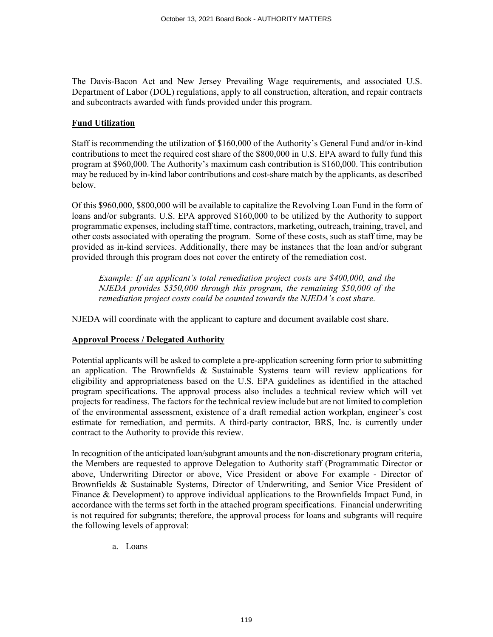The Davis-Bacon Act and New Jersey Prevailing Wage requirements, and associated U.S. Department of Labor (DOL) regulations, apply to all construction, alteration, and repair contracts and subcontracts awarded with funds provided under this program.

## **Fund Utilization**

Staff is recommending the utilization of \$160,000 of the Authority's General Fund and/or in-kind contributions to meet the required cost share of the \$800,000 in U.S. EPA award to fully fund this program at \$960,000. The Authority's maximum cash contribution is \$160,000. This contribution may be reduced by in-kind labor contributions and cost-share match by the applicants, as described below.

Of this \$960,000, \$800,000 will be available to capitalize the Revolving Loan Fund in the form of loans and/or subgrants. U.S. EPA approved \$160,000 to be utilized by the Authority to support programmatic expenses, including staff time, contractors, marketing, outreach, training, travel, and other costs associated with operating the program. Some of these costs, such as staff time, may be provided as in-kind services. Additionally, there may be instances that the loan and/or subgrant provided through this program does not cover the entirety of the remediation cost.

*Example: If an applicant's total remediation project costs are \$400,000, and the NJEDA provides \$350,000 through this program, the remaining \$50,000 of the remediation project costs could be counted towards the NJEDA's cost share.* 

NJEDA will coordinate with the applicant to capture and document available cost share.

# **Approval Process / Delegated Authority**

Potential applicants will be asked to complete a pre-application screening form prior to submitting an application. The Brownfields & Sustainable Systems team will review applications for eligibility and appropriateness based on the U.S. EPA guidelines as identified in the attached program specifications. The approval process also includes a technical review which will vet projects for readiness. The factors for the technical review include but are not limited to completion of the environmental assessment, existence of a draft remedial action workplan, engineer's cost estimate for remediation, and permits. A third-party contractor, BRS, Inc. is currently under contract to the Authority to provide this review.

In recognition of the anticipated loan/subgrant amounts and the non-discretionary program criteria, the Members are requested to approve Delegation to Authority staff (Programmatic Director or above, Underwriting Director or above, Vice President or above For example - Director of Brownfields & Sustainable Systems, Director of Underwriting, and Senior Vice President of Finance & Development) to approve individual applications to the Brownfields Impact Fund, in accordance with the terms set forth in the attached program specifications. Financial underwriting is not required for subgrants; therefore, the approval process for loans and subgrants will require the following levels of approval:

a. Loans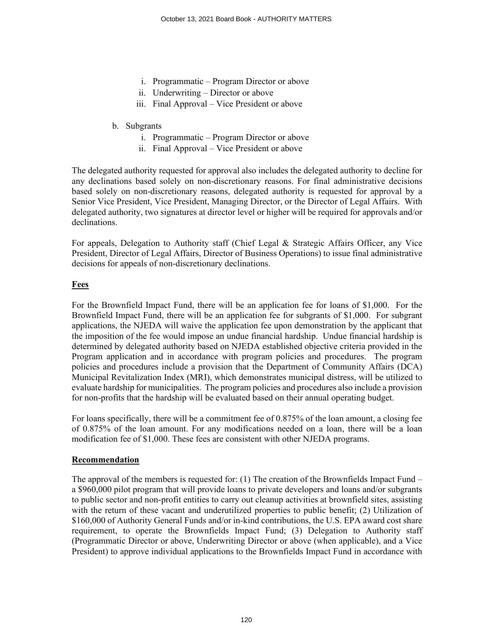- i. Programmatic Program Director or above
- ii. Underwriting Director or above
- iii. Final Approval Vice President or above

## b. Subgrants

- i. Programmatic Program Director or above
- ii. Final Approval Vice President or above

The delegated authority requested for approval also includes the delegated authority to decline for any declinations based solely on non-discretionary reasons. For final administrative decisions based solely on non-discretionary reasons, delegated authority is requested for approval by a Senior Vice President, Vice President, Managing Director, or the Director of Legal Affairs. With delegated authority, two signatures at director level or higher will be required for approvals and/or declinations.

For appeals, Delegation to Authority staff (Chief Legal & Strategic Affairs Officer, any Vice President, Director of Legal Affairs, Director of Business Operations) to issue final administrative decisions for appeals of non-discretionary declinations.

## **Fees**

For the Brownfield Impact Fund, there will be an application fee for loans of \$1,000. For the Brownfield Impact Fund, there will be an application fee for subgrants of \$1,000. For subgrant applications, the NJEDA will waive the application fee upon demonstration by the applicant that the imposition of the fee would impose an undue financial hardship. Undue financial hardship is determined by delegated authority based on NJEDA established objective criteria provided in the Program application and in accordance with program policies and procedures. The program policies and procedures include a provision that the Department of Community Affairs (DCA) Municipal Revitalization Index (MRI), which demonstrates municipal distress, will be utilized to evaluate hardship for municipalities. The program policies and procedures also include a provision for non-profits that the hardship will be evaluated based on their annual operating budget.

For loans specifically, there will be a commitment fee of 0.875% of the loan amount, a closing fee of 0.875% of the loan amount. For any modifications needed on a loan, there will be a loan modification fee of \$1,000. These fees are consistent with other NJEDA programs.

# **Recommendation**

The approval of the members is requested for: (1) The creation of the Brownfields Impact Fund – a \$960,000 pilot program that will provide loans to private developers and loans and/or subgrants to public sector and non-profit entities to carry out cleanup activities at brownfield sites, assisting with the return of these vacant and underutilized properties to public benefit; (2) Utilization of \$160,000 of Authority General Funds and/or in-kind contributions, the U.S. EPA award cost share requirement, to operate the Brownfields Impact Fund; (3) Delegation to Authority staff (Programmatic Director or above, Underwriting Director or above (when applicable), and a Vice President) to approve individual applications to the Brownfields Impact Fund in accordance with